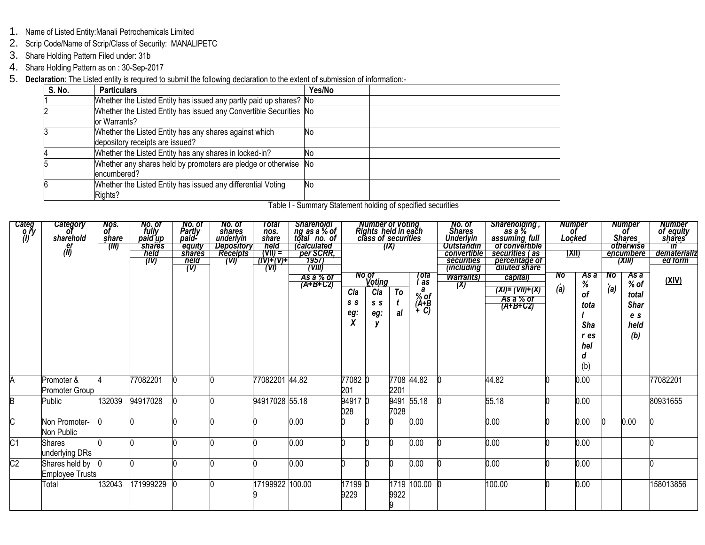- 1. Name of Listed Entity:Manali Petrochemicals Limited
- 2. Scrip Code/Name of Scrip/Class of Security: MANALIPETC
- 3. Share Holding Pattern Filed under: 31b
- 4. Share Holding Pattern as on : 30-Sep-2017
- 5. **Declaration**: The Listed entity is required to submit the following declaration to the extent of submission of information:-

| <b>S. No.</b> | <b>Particulars</b>                                                                        | Yes/No |  |
|---------------|-------------------------------------------------------------------------------------------|--------|--|
|               | Whether the Listed Entity has issued any partly paid up shares? No                        |        |  |
|               | Whether the Listed Entity has issued any Convertible Securities No<br>or Warrants?        |        |  |
|               | Whether the Listed Entity has any shares against which<br>depository receipts are issued? | No     |  |
|               | Whether the Listed Entity has any shares in locked-in?                                    | No     |  |
|               | Whether any shares held by promoters are pledge or otherwise No<br>encumbered?            |        |  |
|               | Whether the Listed Entity has issued any differential Voting<br>Rights?                   | No     |  |

| Table I - Summary Statement holding of specified securities |  |
|-------------------------------------------------------------|--|
|-------------------------------------------------------------|--|

| Categ<br>0.ry<br>(I)    | Category<br>of<br>sharehold<br>er<br>(ll) | Nos.<br>of<br>share<br>(III) | No. of<br>fully<br>paid up<br><b>shares</b><br>held<br>(IV) | No. of<br>Partly<br>paid-<br>equity<br>shares<br>held<br>(V) | No. of<br>shares<br>underlyin<br>Depository<br><b>Receipts</b><br>(VI) | Total<br>nos.<br>share<br>held<br>$(VII) =$<br>7(N)+(V)+<br>(V) | Shareholdi<br>ng as a % of<br>total no. of<br><i>calculated</i><br>per SCRR,<br>1957)<br>(VIII) |                        | <b>Number of Voting<br/>Rights held in each<br/>class of securities</b> | (IX)      |                                                                        | No. of<br>Shares<br>Underlyin<br><b>Outstandin</b><br>convertible<br>securities<br><i>(including)</i> | , Shareholding<br>as a %<br>assuming_full<br>of convertible<br>securities (as<br>percentage of<br>diluted share |           | <b>Number</b><br>of<br>Locked<br><u>(XII)</u>                    |           | <b>Number</b><br>of<br><b>Shares</b><br>otherwise<br>encumbere<br>(XIII) | <b>Number</b><br>of equity<br>shares <sup>-</sup><br>$\overline{m}$<br>dematerializ<br>ed form |
|-------------------------|-------------------------------------------|------------------------------|-------------------------------------------------------------|--------------------------------------------------------------|------------------------------------------------------------------------|-----------------------------------------------------------------|-------------------------------------------------------------------------------------------------|------------------------|-------------------------------------------------------------------------|-----------|------------------------------------------------------------------------|-------------------------------------------------------------------------------------------------------|-----------------------------------------------------------------------------------------------------------------|-----------|------------------------------------------------------------------|-----------|--------------------------------------------------------------------------|------------------------------------------------------------------------------------------------|
|                         |                                           |                              |                                                             |                                                              |                                                                        |                                                                 | As a % of<br>$(A+B+CZ)$                                                                         | Cla<br>S S<br>eg:<br>X | No of<br><b>Voting</b><br>Cla<br>s s<br>eg:                             | To<br>al  | Tota<br>as<br>$\begin{array}{c}\n% \circ f \\ (A+B \\ +C\n\end{array}$ | <b>Warrants</b> )<br>(X)                                                                              | capital)<br>$(XI) = (VII)+(X)$<br>As a % of<br>$(A+B+C2)$                                                       | No<br>(a) | As a<br>%<br><b>of</b><br>tota<br>Sha<br>r es<br>hel<br>a<br>(b) | No<br>(a) | As a<br>$%$ of<br>total<br><b>Shar</b><br>e s<br>held<br>(b)             | <u>(XIV)</u>                                                                                   |
| A                       | Promoter &<br>Promoter Group              |                              | 77082201                                                    |                                                              |                                                                        | 77082201                                                        | 44.82                                                                                           | 77082 0<br>201         |                                                                         | 2201      | 7708 44.82                                                             |                                                                                                       | 44.82                                                                                                           |           | 0.00                                                             |           |                                                                          | 77082201                                                                                       |
| B                       | Public                                    | 132039                       | 94917028                                                    |                                                              |                                                                        | 94917028 55.18                                                  |                                                                                                 | 949170<br>028          |                                                                         | 7028      | 9491 55.18                                                             |                                                                                                       | 55.18                                                                                                           |           | 0.00                                                             |           |                                                                          | 80931655                                                                                       |
| $\overline{\mathsf{C}}$ | Non Promoter-<br>Non Public               |                              |                                                             |                                                              |                                                                        |                                                                 | 0.00                                                                                            |                        |                                                                         |           | 0.00                                                                   |                                                                                                       | 0.00                                                                                                            |           | 0.00                                                             |           | 0.00                                                                     |                                                                                                |
| $\overline{C1}$         | Shares<br>underlying DRs                  |                              |                                                             |                                                              |                                                                        |                                                                 | $0.00\,$                                                                                        |                        |                                                                         |           | 0.00                                                                   |                                                                                                       | 0.00                                                                                                            |           | 0.00                                                             |           |                                                                          |                                                                                                |
| $\overline{\text{C2}}$  | Shares held by<br>Employee Trusts         |                              |                                                             |                                                              |                                                                        |                                                                 | 0.00                                                                                            |                        |                                                                         |           | 0.00                                                                   |                                                                                                       | 0.00                                                                                                            |           | 0.00                                                             |           |                                                                          |                                                                                                |
|                         | Total                                     | 132043                       | 171999229                                                   |                                                              |                                                                        | 17199922                                                        | 100.00                                                                                          | 17199 0<br>9229        |                                                                         | 9922<br>9 | 1719 100.00 0                                                          |                                                                                                       | 100.00                                                                                                          |           | 0.00                                                             |           |                                                                          | 158013856                                                                                      |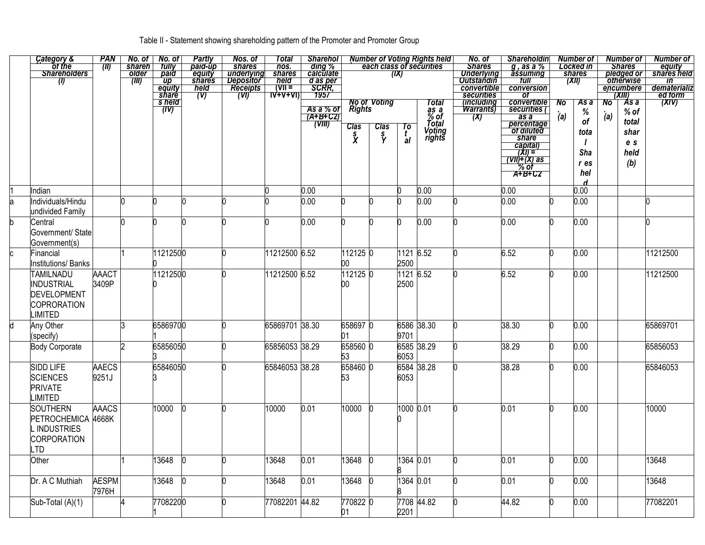## Table II - Statement showing shareholding pattern of the Promoter and Promoter Group

|   | Category &                    | <b>PAN</b>   |                        | $No. of$ $No. of$                      | <b>Partly</b>            | Nos. of                                       | Total                             | <b>Sharehol</b>                            |               |                     |           | Number of Voting Rights held | No. of                 | <b>Shareholdin</b>                                            |     | Number of       |     | <b>Number of</b>            | <b>Number of</b>      |
|---|-------------------------------|--------------|------------------------|----------------------------------------|--------------------------|-----------------------------------------------|-----------------------------------|--------------------------------------------|---------------|---------------------|-----------|------------------------------|------------------------|---------------------------------------------------------------|-----|-----------------|-----|-----------------------------|-----------------------|
|   | ot the<br><b>Shareholders</b> | (II)         | <b>shareh</b><br>older | tully                                  | paid-up                  | shares<br>underlying<br>Depositor<br>Receipts | nos.                              | ding %<br>calculate                        |               |                     | (IX)      | each class of securities     | <b>Shares</b>          | $g$ , as a $\%$<br>assuming                                   |     | Locked in       |     | <b>Shares</b><br>pledged or | equity<br>shares held |
|   | (I)                           |              | (III)                  | paid<br>$\overline{up}$                | equity<br><b>shares</b>  |                                               | shares                            |                                            |               |                     |           |                              | <b>Underlying</b>      | tull                                                          |     | shares<br>(XII) |     | otherwise                   | $\overline{m}$        |
|   |                               |              |                        | equity                                 | $\frac{m}{\text{field}}$ |                                               | <i>held</i><br>(VII =<br>IV+V+VI) | d as per<br>SCRR,<br>1957                  |               |                     |           |                              | convertible            | conversion                                                    |     |                 |     | encumbere                   | dematerializ          |
|   |                               |              |                        |                                        |                          | $\overline{(\mathsf{V}\mathsf{I})}$           |                                   |                                            |               |                     |           |                              | securities             | 0f                                                            |     |                 |     | (XIII)                      | ed form               |
|   |                               |              |                        | s held<br>$\overline{(\overline{I}V)}$ |                          |                                               |                                   |                                            | <b>Rights</b> | <b>No of Voting</b> |           | Total                        | <i>including</i>       | convertible<br>securities (                                   | No  | As a            | No  | As a                        | (XIV)                 |
|   |                               |              |                        |                                        |                          |                                               |                                   | As a % of<br>(A+B+C2)                      |               |                     |           | $\frac{2}{6}$ of             | <b>Warrants</b><br>(X) |                                                               | (a) | %               | (a) | $%$ of                      |                       |
|   |                               |              |                        |                                        |                          |                                               |                                   | $\overline{(\nabla \mathbf{I}\mathbf{I})}$ | <b>Clas</b>   |                     | To        | Total                        |                        | as a<br>percentage<br>of diluted                              |     | of              |     | total                       |                       |
|   |                               |              |                        |                                        |                          |                                               |                                   |                                            |               | Clas<br>S<br>Y      | t<br>al   | Voting<br>rights             |                        |                                                               |     | tota            |     | shar                        |                       |
|   |                               |              |                        |                                        |                          |                                               |                                   |                                            | $\mathbf{x}$  |                     |           |                              |                        | share<br>capital)                                             |     |                 |     | e s                         |                       |
|   |                               |              |                        |                                        |                          |                                               |                                   |                                            |               |                     |           |                              |                        |                                                               |     | Sha             |     | held                        |                       |
|   |                               |              |                        |                                        |                          |                                               |                                   |                                            |               |                     |           |                              |                        | $\frac{\overline{(\mathsf{X})}}{(\mathsf{V})+(X) \text{ as}}$ |     | r es            |     | (b)                         |                       |
|   |                               |              |                        |                                        |                          |                                               |                                   |                                            |               |                     |           |                              |                        |                                                               |     | hel             |     |                             |                       |
|   |                               |              |                        |                                        |                          |                                               |                                   |                                            |               |                     |           |                              |                        |                                                               |     | d               |     |                             |                       |
|   | Indian                        |              |                        |                                        |                          |                                               |                                   | 0.00                                       |               |                     |           | 0.00                         |                        | 0.00                                                          |     | 0.00            |     |                             |                       |
|   | Individuals/Hindu             |              |                        |                                        |                          |                                               |                                   | 0.00                                       |               |                     |           | 0.00                         |                        | 0.00                                                          |     | 0.00            |     |                             |                       |
|   | undivided Family              |              |                        |                                        |                          |                                               |                                   |                                            |               |                     |           |                              |                        |                                                               |     |                 |     |                             |                       |
|   | Central                       |              |                        |                                        |                          |                                               |                                   | 0.00                                       |               |                     |           | 0.00                         |                        | 0.00                                                          |     | 0.00            |     |                             |                       |
|   | Government/ State             |              |                        |                                        |                          |                                               |                                   |                                            |               |                     |           |                              |                        |                                                               |     |                 |     |                             |                       |
|   | Government(s)                 |              |                        |                                        |                          |                                               |                                   |                                            |               |                     |           |                              |                        |                                                               |     |                 |     |                             |                       |
|   | Financial                     |              |                        | 11212500                               |                          |                                               | 11212500 6.52                     |                                            | 112125 0      |                     | 1121 6.52 |                              |                        | 6.52                                                          | n   | 0.00            |     |                             | 11212500              |
|   | Institutions/ Banks           |              |                        |                                        |                          |                                               |                                   |                                            | $00\,$        |                     | 2500      |                              |                        |                                                               |     |                 |     |                             |                       |
|   | <b>TAMILNADU</b>              | <b>AAACT</b> |                        | 11212500                               |                          |                                               | 11212500 6.52                     |                                            | 112125 0      |                     | 1121 6.52 |                              |                        | 6.52                                                          |     | 0.00            |     |                             | 11212500              |
|   | INDUSTRIAL                    | 3409P        |                        |                                        |                          |                                               |                                   |                                            | 00            |                     | 2500      |                              |                        |                                                               |     |                 |     |                             |                       |
|   | DEVELOPMENT                   |              |                        |                                        |                          |                                               |                                   |                                            |               |                     |           |                              |                        |                                                               |     |                 |     |                             |                       |
|   | COPRORATION                   |              |                        |                                        |                          |                                               |                                   |                                            |               |                     |           |                              |                        |                                                               |     |                 |     |                             |                       |
|   |                               |              |                        |                                        |                          |                                               |                                   |                                            |               |                     |           |                              |                        |                                                               |     |                 |     |                             |                       |
|   | LIMITED                       |              |                        |                                        |                          |                                               |                                   |                                            |               |                     |           |                              |                        |                                                               |     |                 |     |                             |                       |
| d | Any Other                     |              |                        | 65869700                               |                          |                                               | 65869701 38.30                    |                                            | 658697 0      |                     |           | 6586 38.30                   |                        | 38.30                                                         | n   | 0.00            |     |                             | 65869701              |
|   | (specify)                     |              |                        |                                        |                          |                                               |                                   |                                            | 01            |                     | 9701      |                              |                        |                                                               |     |                 |     |                             |                       |
|   | <b>Body Corporate</b>         |              |                        | 65856050                               |                          |                                               | 65856053 38.29                    |                                            | 658560 0      |                     |           | 6585 38.29                   |                        | 38.29                                                         |     | 0.00            |     |                             | 65856053              |
|   |                               |              |                        |                                        |                          |                                               |                                   |                                            | 53            |                     | 6053      |                              |                        |                                                               |     |                 |     |                             |                       |
|   | <b>SIDD LIFE</b>              | <b>AAECS</b> |                        | 65846050                               |                          |                                               | 65846053 38.28                    |                                            | 658460 0      |                     |           | 6584 38.28                   |                        | 38.28                                                         |     | 0.00            |     |                             | 65846053              |
|   | <b>SCIENCES</b>               | 9251J        |                        |                                        |                          |                                               |                                   |                                            | 53            |                     | 6053      |                              |                        |                                                               |     |                 |     |                             |                       |
|   | <b>PRIVATE</b>                |              |                        |                                        |                          |                                               |                                   |                                            |               |                     |           |                              |                        |                                                               |     |                 |     |                             |                       |
|   | <b>LIMITED</b>                |              |                        |                                        |                          |                                               |                                   |                                            |               |                     |           |                              |                        |                                                               |     |                 |     |                             |                       |
|   | <b>SOUTHERN</b>               | <b>AAACS</b> |                        | 10000                                  |                          |                                               | 10000                             | 0.01                                       | 10000         |                     | 1000 0.01 |                              |                        | 0.01                                                          |     | 0.00            |     |                             | 10000                 |
|   | PETROCHEMICA 4668K            |              |                        |                                        |                          |                                               |                                   |                                            |               |                     |           |                              |                        |                                                               |     |                 |     |                             |                       |
|   | <b>INDUSTRIES</b>             |              |                        |                                        |                          |                                               |                                   |                                            |               |                     |           |                              |                        |                                                               |     |                 |     |                             |                       |
|   |                               |              |                        |                                        |                          |                                               |                                   |                                            |               |                     |           |                              |                        |                                                               |     |                 |     |                             |                       |
|   | CORPORATION                   |              |                        |                                        |                          |                                               |                                   |                                            |               |                     |           |                              |                        |                                                               |     |                 |     |                             |                       |
|   | LTD                           |              |                        |                                        |                          |                                               |                                   |                                            |               |                     |           |                              |                        |                                                               |     |                 |     |                             |                       |
|   | Other                         |              |                        | 13648                                  |                          |                                               | 13648                             | 0.01                                       | 13648         |                     | 1364 0.01 |                              |                        | 0.01                                                          | h   | 0.00            |     |                             | 13648                 |
|   |                               |              |                        |                                        |                          |                                               |                                   |                                            |               |                     |           |                              |                        |                                                               |     |                 |     |                             |                       |
|   | Dr. A C Muthiah               | <b>AESPM</b> |                        | 13648                                  |                          |                                               | 13648                             | 0.01                                       | 13648         |                     | 1364 0.01 |                              |                        | 0.01                                                          | n   | 0.00            |     |                             | 13648                 |
|   |                               | 7976H        |                        |                                        |                          |                                               |                                   |                                            |               |                     |           |                              |                        |                                                               |     |                 |     |                             |                       |
|   | Sub-Total (A)(1)              |              |                        | 77082200                               |                          |                                               | 77082201 44.82                    |                                            | 770822 0      |                     |           | 7708 44.82                   |                        | 44.82                                                         |     | 0.00            |     |                             | 77082201              |
|   |                               |              |                        |                                        |                          |                                               |                                   |                                            | 01            |                     | 2201      |                              |                        |                                                               |     |                 |     |                             |                       |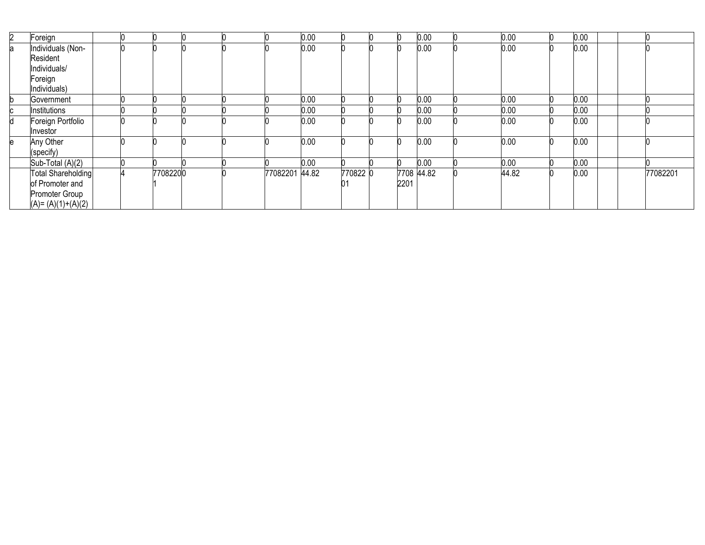| $\mathbf{2}^{\circ}$ | Foreign             |  |          |  |                | 0.00 |          |      | 0.00       | 0.00  | 0.00 |  |          |
|----------------------|---------------------|--|----------|--|----------------|------|----------|------|------------|-------|------|--|----------|
| a                    | Individuals (Non-   |  |          |  |                | 0.00 |          |      | 0.00       | 0.00  | 0.00 |  |          |
|                      | Resident            |  |          |  |                |      |          |      |            |       |      |  |          |
|                      | Individuals/        |  |          |  |                |      |          |      |            |       |      |  |          |
|                      | Foreign             |  |          |  |                |      |          |      |            |       |      |  |          |
|                      | Individuals)        |  |          |  |                |      |          |      |            |       |      |  |          |
|                      | Government          |  |          |  |                | 0.00 |          |      | 0.00       | 0.00  | 0.00 |  |          |
| C                    | Institutions        |  |          |  |                | 0.00 |          |      | 0.00       | 0.00  | 0.00 |  |          |
| d                    | Foreign Portfolio   |  |          |  |                | 0.00 |          |      | 0.00       | 0.00  | 0.00 |  |          |
|                      | Investor            |  |          |  |                |      |          |      |            |       |      |  |          |
| е                    | Any Other           |  |          |  |                | 0.00 |          |      | 0.00       | 0.00  | 0.00 |  |          |
|                      | (specify)           |  |          |  |                |      |          |      |            |       |      |  |          |
|                      | Sub-Total (A)(2)    |  |          |  |                | 0.00 |          |      | 0.00       | 0.00  | 0.00 |  |          |
|                      | Total Shareholding  |  | 77082200 |  | 77082201 44.82 |      | 770822 0 |      | 7708 44.82 | 44.82 | 0.00 |  | 77082201 |
|                      | of Promoter and     |  |          |  |                |      | 01       | 2201 |            |       |      |  |          |
|                      | Promoter Group      |  |          |  |                |      |          |      |            |       |      |  |          |
|                      | $(A)=(A)(1)+(A)(2)$ |  |          |  |                |      |          |      |            |       |      |  |          |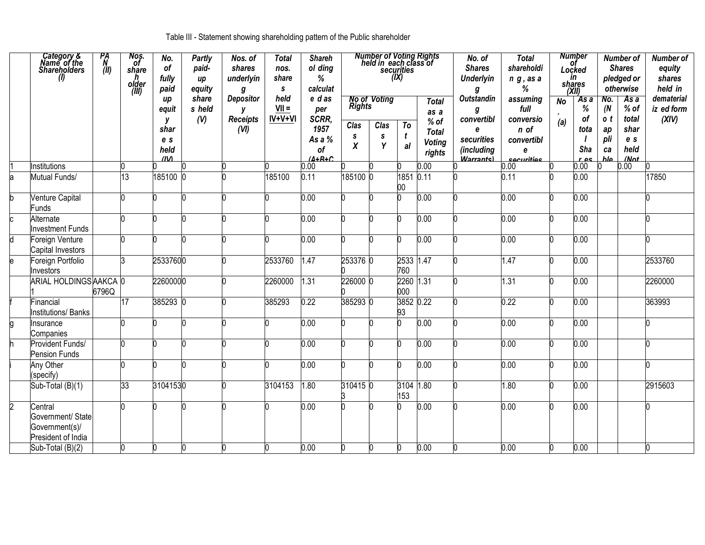Table III - Statement showing shareholding pattern of the Public shareholder

|                | Category &<br>Name of the<br><b>Shareholders</b><br>$\theta$         | PA<br>N<br>(11) | Nos.<br>Of<br>share<br>h<br>older<br>(III) | No.<br>of<br>fully<br>paid          | <b>Partly</b><br>paid-<br>иp<br>equity | Nos. of<br>shares<br>underlyin<br>g | <b>Total</b><br>nos.<br>share<br>S. | <b>Shareh</b><br>ol ding<br>%<br>calculat |                           | <b>Number of Voting Rights</b><br>held in each class of | securities<br>(X) |                                         | No. of<br><b>Shares</b><br><b>Underlyin</b><br>g  | <b>Total</b><br>shareholdi<br>$n$ $g$ , as a<br>% |                  | <b>Number</b><br>оf<br>Locked<br>in<br>shares<br>(XII) |                        | <b>Number of</b><br><b>Shares</b><br>pledged or<br>otherwise | <b>Number of</b><br>equity<br>shares<br>held in |
|----------------|----------------------------------------------------------------------|-----------------|--------------------------------------------|-------------------------------------|----------------------------------------|-------------------------------------|-------------------------------------|-------------------------------------------|---------------------------|---------------------------------------------------------|-------------------|-----------------------------------------|---------------------------------------------------|---------------------------------------------------|------------------|--------------------------------------------------------|------------------------|--------------------------------------------------------------|-------------------------------------------------|
|                |                                                                      |                 |                                            | up<br>equit<br>y                    | share<br>s held<br>(V)                 | Depositor<br>у<br><b>Receipts</b>   | held<br>$VII =$<br>IV+V+VI          | e das<br>per<br>SCRR,                     | <b>Rights</b>             | No of Voting                                            | To                | <b>Total</b><br>as a<br>% of            | Outstandin<br>g<br>convertibl                     | assuming<br>full<br>conversio                     | <b>No</b><br>(a) | As a<br>%<br>οf                                        | No.<br>(N)<br>o t      | $\overline{Asa}$<br>$%$ of<br>total                          | dematerial<br>iz ed form<br>(XIV)               |
|                |                                                                      |                 |                                            | shar<br>e s<br>held<br>$\mathbf{u}$ |                                        | (VI)                                |                                     | 1957<br>As a %<br><b>of</b><br>$(A+R+C)$  | Clas<br>S<br>$\pmb{\chi}$ | Clas<br>s<br>Y                                          | t<br>al           | <b>Total</b><br><b>Voting</b><br>rights | e<br>securities<br>(including<br><b>Warrantel</b> | n of<br>convertibl<br>e<br>cocuritios             |                  | tota<br>Sha<br>r ac                                    | ap<br>pli<br>ca<br>hlo | shar<br>e s<br>held<br>/Not                                  |                                                 |
|                | Institutions                                                         |                 |                                            |                                     |                                        |                                     |                                     | 0.00                                      |                           |                                                         |                   | 0.00                                    |                                                   | 0.00                                              |                  | 0.00                                                   |                        | 0.00                                                         |                                                 |
|                | Mutual Funds/                                                        |                 | 13                                         | 185100                              |                                        |                                     | 185100                              | 0.11                                      | 185100 0                  |                                                         | 1851<br>00        | 0.11                                    |                                                   | 0.11                                              |                  | 0.00                                                   |                        |                                                              | 17850                                           |
|                | Venture Capital<br><b>Funds</b>                                      |                 |                                            |                                     |                                        |                                     |                                     | 0.00                                      |                           |                                                         |                   | 0.00                                    |                                                   | 0.00                                              |                  | 0.00                                                   |                        |                                                              |                                                 |
|                | Alternate<br><b>Investment Funds</b>                                 |                 |                                            |                                     |                                        |                                     |                                     | 0.00                                      |                           |                                                         |                   | 0.00                                    |                                                   | 0.00                                              |                  | 0.00                                                   |                        |                                                              |                                                 |
|                | Foreign Venture<br>Capital Investors                                 |                 |                                            |                                     |                                        |                                     |                                     | 0.00                                      |                           |                                                         | n                 | 0.00                                    |                                                   | 0.00                                              |                  | 0.00                                                   |                        |                                                              |                                                 |
|                | Foreign Portfolio<br>Investors                                       |                 | k                                          | 25337600                            |                                        |                                     | 2533760                             | 1.47                                      | 253376 0                  |                                                         | 2533 1.47<br>760  |                                         |                                                   | 1.47                                              |                  | 0.00                                                   |                        |                                                              | 2533760                                         |
|                | ARIAL HOLDINGSAAKCA 0                                                | 6796Q           |                                            | 22600000                            |                                        |                                     | 2260000                             | 1.31                                      | 226000 0                  |                                                         | 2260 1.31<br>000  |                                         |                                                   | 1.31                                              |                  | 0.00                                                   |                        |                                                              | 2260000                                         |
|                | Financial<br><b>Institutions/Banks</b>                               |                 | 17                                         | 385293 0                            |                                        |                                     | 385293                              | 0.22                                      | 385293 0                  |                                                         | 3852 0.22<br>93   |                                         |                                                   | 0.22                                              |                  | 0.00                                                   |                        |                                                              | 363993                                          |
|                | Insurance<br>Companies                                               |                 |                                            |                                     |                                        |                                     |                                     | 0.00                                      |                           |                                                         |                   | 0.00                                    |                                                   | 0.00                                              |                  | 0.00                                                   |                        |                                                              |                                                 |
|                | Provident Funds/<br>Pension Funds                                    |                 | h                                          |                                     |                                        |                                     |                                     | 0.00                                      |                           |                                                         | h                 | 0.00                                    |                                                   | 0.00                                              | n                | 0.00                                                   |                        |                                                              |                                                 |
|                | Any Other<br>(specify)                                               |                 | n                                          |                                     |                                        |                                     |                                     | 0.00                                      |                           |                                                         |                   | 0.00                                    |                                                   | 0.00                                              |                  | 0.00                                                   |                        |                                                              |                                                 |
|                | Sub-Total (B)(1)                                                     |                 | 33                                         | 31041530                            |                                        |                                     | 3104153                             | 1.80                                      | 310415 0                  |                                                         | 3104 1.80<br>153  |                                         |                                                   | 1.80                                              |                  | 0.00                                                   |                        |                                                              | 2915603                                         |
| $\overline{2}$ | Central<br>Government/ State<br>Government(s)/<br>President of India |                 |                                            |                                     |                                        |                                     |                                     | 0.00                                      |                           |                                                         |                   | 0.00                                    |                                                   | 0.00                                              |                  | 0.00                                                   |                        |                                                              |                                                 |
|                | Sub-Total (B)(2)                                                     |                 | b                                          | O.                                  | n                                      |                                     |                                     | 0.00                                      | h                         | 0                                                       | O.                | 0.00                                    |                                                   | 0.00                                              | O.               | 0.00                                                   |                        |                                                              |                                                 |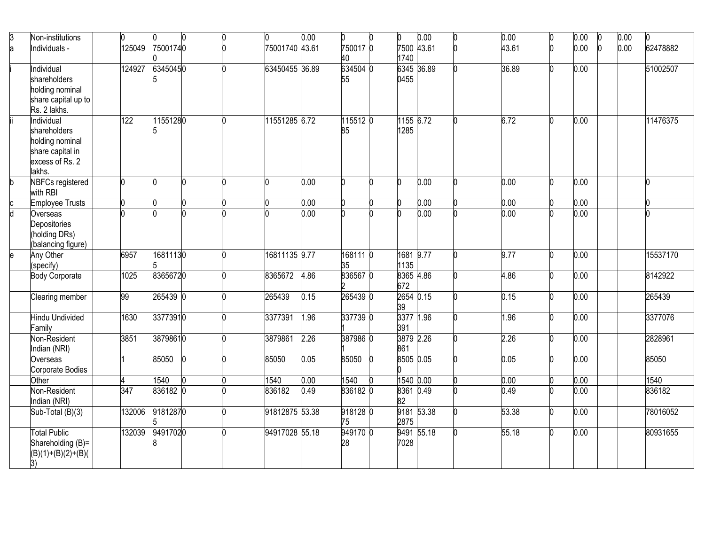|                    | Non-institutions                    |        |          |   |                | 0.00 |                |                   | 0.00 | 0.00  | 0.00 | $\bf{0}$ | 0.00 |          |
|--------------------|-------------------------------------|--------|----------|---|----------------|------|----------------|-------------------|------|-------|------|----------|------|----------|
| 3<br>a             | Individuals -                       | 125049 | 75001740 |   | 75001740 43.61 |      | 750017 0       | 7500 43.61        |      | 43.61 | 0.00 |          | 0.00 | 62478882 |
|                    |                                     |        |          |   |                |      | 40             | 1740              |      |       |      |          |      |          |
|                    | Individual                          | 124927 | 63450450 |   | 63450455 36.89 |      | 634504 0       | 6345 36.89        |      | 36.89 | 0.00 |          |      | 51002507 |
|                    | shareholders                        |        |          |   |                |      | 55             | 0455              |      |       |      |          |      |          |
|                    | holding nominal                     |        |          |   |                |      |                |                   |      |       |      |          |      |          |
|                    | share capital up to                 |        |          |   |                |      |                |                   |      |       |      |          |      |          |
|                    | Rs. 2 lakhs.                        |        |          |   |                |      |                |                   |      |       |      |          |      |          |
|                    | Individual                          | 122    | 11551280 |   | 11551285 6.72  |      | 115512 0       | 1155 6.72         |      | 6.72  | 0.00 |          |      | 11476375 |
|                    | shareholders                        |        |          |   |                |      | 85             | 1285              |      |       |      |          |      |          |
|                    | holding nominal                     |        |          |   |                |      |                |                   |      |       |      |          |      |          |
|                    | share capital in<br>excess of Rs. 2 |        |          |   |                |      |                |                   |      |       |      |          |      |          |
|                    | lakhs.                              |        |          |   |                |      |                |                   |      |       |      |          |      |          |
| b                  | <b>NBFCs registered</b>             |        |          | n |                | 0.00 |                | n                 | 0.00 | 0.00  | 0.00 |          |      |          |
|                    | with RBI                            |        |          |   |                |      |                |                   |      |       |      |          |      |          |
| $\frac{1}{\alpha}$ | <b>Employee Trusts</b>              |        |          |   |                | 0.00 |                |                   | 0.00 | 0.00  | 0.00 |          |      |          |
|                    | Overseas                            |        |          |   |                | 0.00 |                |                   | 0.00 | 0.00  | 0.00 |          |      |          |
|                    | Depositories                        |        |          |   |                |      |                |                   |      |       |      |          |      |          |
|                    | (holding DRs)                       |        |          |   |                |      |                |                   |      |       |      |          |      |          |
|                    | (balancing figure)                  |        |          |   |                |      |                |                   |      |       |      |          |      |          |
| e                  | Any Other                           | 6957   | 16811130 |   | 16811135 9.77  |      | 168111 0       | 1681 9.77         |      | 9.77  | 0.00 |          |      | 15537170 |
|                    | (specify)                           | 1025   | 83656720 |   | 8365672        | 4.86 | 35<br>836567 0 | 1135<br>8365 4.86 |      | 4.86  | 0.00 |          |      | 8142922  |
|                    | <b>Body Corporate</b>               |        |          |   |                |      |                | 672               |      |       |      |          |      |          |
|                    | Clearing member                     | 99     | 265439 0 |   | 265439         | 0.15 | 265439 0       | 2654 0.15         |      | 0.15  | 0.00 |          |      | 265439   |
|                    |                                     |        |          |   |                |      |                | 39                |      |       |      |          |      |          |
|                    | Hindu Undivided                     | 1630   | 33773910 |   | 3377391        | 1.96 | 337739 0       | 3377 1.96         |      | 1.96  | 0.00 |          |      | 3377076  |
|                    | Family                              |        |          |   |                |      |                | 391               |      |       |      |          |      |          |
|                    | Non-Resident                        | 3851   | 38798610 |   | 3879861        | 2.26 | 387986 0       | 3879 2.26         |      | 2.26  | 0.00 |          |      | 2828961  |
|                    | Indian (NRI)                        |        |          |   |                |      |                | 861               |      |       |      |          |      |          |
|                    | Overseas                            |        | 85050    |   | 85050          | 0.05 | 85050          | 8505 0.05         |      | 0.05  | 0.00 |          |      | 85050    |
|                    | Corporate Bodies                    |        |          |   |                |      |                |                   |      |       |      |          |      |          |
|                    | Other                               |        | 1540     |   | 1540           | 0.00 | 1540           | 1540 0.00         |      | 0.00  | 0.00 |          |      | 1540     |
|                    | Non-Resident                        | 347    | 836182 0 |   | 836182         | 0.49 | 836182 0       | 8361 0.49         |      | 0.49  | 0.00 |          |      | 836182   |
|                    | Indian (NRI)                        |        |          |   |                |      |                | 82                |      |       |      |          |      |          |
|                    | Sub-Total (B)(3)                    | 132006 | 91812870 |   | 91812875 53.38 |      | 918128 0       | 9181 53.38        |      | 53.38 | 0.00 |          |      | 78016052 |
|                    |                                     |        |          |   |                |      | 75             | 2875              |      |       |      |          |      |          |
|                    | <b>Total Public</b>                 | 132039 | 94917020 |   | 94917028 55.18 |      | 949170 0       | 9491 55.18        |      | 55.18 | 0.00 |          |      | 80931655 |
|                    | Shareholding (B)=                   |        |          |   |                |      | 28             | 7028              |      |       |      |          |      |          |
|                    | $(B)(1)+(B)(2)+(B)($                |        |          |   |                |      |                |                   |      |       |      |          |      |          |
|                    | 3)                                  |        |          |   |                |      |                |                   |      |       |      |          |      |          |